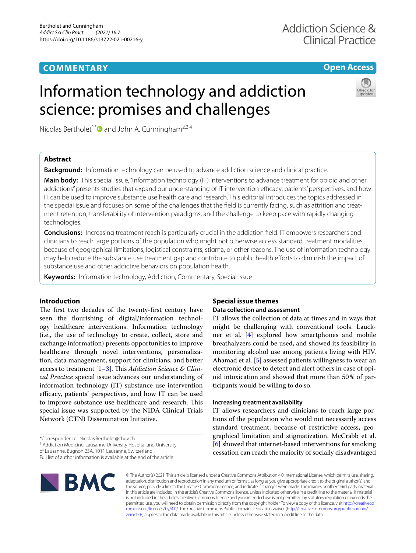## **COMMENTARY**

### **Open Access**

## Information technology and addiction science: promises and challenges

Nicolas Bertholet<sup>1\*</sup> and John A. Cunningham<sup>2,3,4</sup>

#### **Abstract**

**Background:** Information technology can be used to advance addiction science and clinical practice.

**Main body:** This special issue, "Information technology (IT) interventions to advance treatment for opioid and other addictions" presents studies that expand our understanding of IT intervention efficacy, patients' perspectives, and how IT can be used to improve substance use health care and research. This editorial introduces the topics addressed in the special issue and focuses on some of the challenges that the feld is currently facing, such as attrition and treatment retention, transferability of intervention paradigms, and the challenge to keep pace with rapidly changing technologies.

**Conclusions:** Increasing treatment reach is particularly crucial in the addiction feld. IT empowers researchers and clinicians to reach large portions of the population who might not otherwise access standard treatment modalities, because of geographical limitations, logistical constraints, stigma, or other reasons. The use of information technology may help reduce the substance use treatment gap and contribute to public health efforts to diminish the impact of substance use and other addictive behaviors on population health.

**Keywords:** Information technology, Addiction, Commentary, Special issue

#### **Introduction**

The first two decades of the twenty-first century have seen the fourishing of digital/information technology healthcare interventions. Information technology (i.e., the use of technology to create, collect, store and exchange information) presents opportunities to improve healthcare through novel interventions, personalization, data management, support for clinicians, and better access to treatment [[1–](#page-2-0)[3](#page-2-1)]. Tis *Addiction Science & Clinical Practice* special issue advances our understanding of information technology (IT) substance use intervention efficacy, patients' perspectives, and how IT can be used to improve substance use healthcare and research. This special issue was supported by the NIDA Clinical Trials Network (CTN) Dissemination Initiative.

\*Correspondence: Nicolas.Bertholet@chuv.ch

<sup>1</sup> Addiction Medicine, Lausanne University Hospital and University

of Lausanne, Bugnon 23A, 1011 Lausanne, Switzerland

Full list of author information is available at the end of the article

# **BMC**

## **Special issue themes**

#### **Data collection and assessment**

IT allows the collection of data at times and in ways that might be challenging with conventional tools. Lauckner et al. [\[4](#page-2-2)] explored how smartphones and mobile breathalyzers could be used, and showed its feasibility in monitoring alcohol use among patients living with HIV. Ahamad et al. [[5\]](#page-2-3) assessed patients willingness to wear an electronic device to detect and alert others in case of opioid intoxication and showed that more than 50% of participants would be willing to do so.

#### **Increasing treatment availability**

IT allows researchers and clinicians to reach large portions of the population who would not necessarily access standard treatment, because of restrictive access, geographical limitation and stigmatization. McCrabb et al. [[6\]](#page-2-4) showed that internet-based interventions for smoking cessation can reach the majority of socially disadvantaged

© The Author(s) 2021. This article is licensed under a Creative Commons Attribution 4.0 International License, which permits use, sharing, adaptation, distribution and reproduction in any medium or format, as long as you give appropriate credit to the original author(s) and the source, provide a link to the Creative Commons licence, and indicate if changes were made. The images or other third party material in this article are included in the article's Creative Commons licence, unless indicated otherwise in a credit line to the material. If material is not included in the article's Creative Commons licence and your intended use is not permitted by statutory regulation or exceeds the permitted use, you will need to obtain permission directly from the copyright holder. To view a copy of this licence, visit [http://creativeco](http://creativecommons.org/licenses/by/4.0/) [mmons.org/licenses/by/4.0/.](http://creativecommons.org/licenses/by/4.0/) The Creative Commons Public Domain Dedication waiver ([http://creativecommons.org/publicdomain/](http://creativecommons.org/publicdomain/zero/1.0/) [zero/1.0/\)](http://creativecommons.org/publicdomain/zero/1.0/) applies to the data made available in this article, unless otherwise stated in a credit line to the data.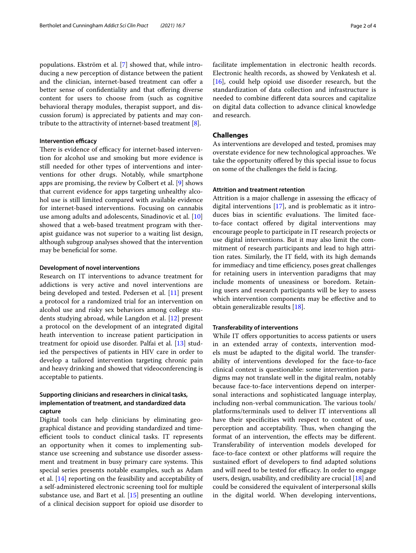populations. Ekström et al. [[7\]](#page-2-5) showed that, while introducing a new perception of distance between the patient and the clinician, internet-based treatment can offer a better sense of confidentiality and that offering diverse content for users to choose from (such as cognitive behavioral therapy modules, therapist support, and discussion forum) is appreciated by patients and may contribute to the attractivity of internet-based treatment [[8\]](#page-2-6).

#### **Intervention efficacy**

There is evidence of efficacy for internet-based intervention for alcohol use and smoking but more evidence is still needed for other types of interventions and interventions for other drugs. Notably, while smartphone apps are promising, the review by Colbert et al. [[9\]](#page-2-7) shows that current evidence for apps targeting unhealthy alcohol use is still limited compared with available evidence for internet-based interventions. Focusing on cannabis use among adults and adolescents, Sinadinovic et al. [[10](#page-2-8)] showed that a web-based treatment program with therapist guidance was not superior to a waiting list design, although subgroup analyses showed that the intervention may be beneficial for some.

#### **Development of novel interventions**

Research on IT interventions to advance treatment for addictions is very active and novel interventions are being developed and tested. Pedersen et al. [[11\]](#page-2-9) present a protocol for a randomized trial for an intervention on alcohol use and risky sex behaviors among college students studying abroad, while Langdon et al. [\[12\]](#page-3-0) present a protocol on the development of an integrated digital heath intervention to increase patient participation in treatment for opioid use disorder. Palfai et al. [\[13\]](#page-3-1) studied the perspectives of patients in HIV care in order to develop a tailored intervention targeting chronic pain and heavy drinking and showed that videoconferencing is acceptable to patients.

#### **Supporting clinicians and researchers in clinical tasks, implementation of treatment, and standardized data capture**

Digital tools can help clinicians by eliminating geographical distance and providing standardized and timeefficient tools to conduct clinical tasks. IT represents an opportunity when it comes to implementing substance use screening and substance use disorder assessment and treatment in busy primary care systems. This special series presents notable examples, such as Adam et al. [\[14](#page-3-2)] reporting on the feasibility and acceptability of a self-administered electronic screening tool for multiple substance use, and Bart et al. [[15\]](#page-3-3) presenting an outline of a clinical decision support for opioid use disorder to facilitate implementation in electronic health records. Electronic health records, as showed by Venkatesh et al. [[16\]](#page-3-4), could help opioid use disorder research, but the standardization of data collection and infrastructure is needed to combine diferent data sources and capitalize on digital data collection to advance clinical knowledge and research.

#### **Challenges**

As interventions are developed and tested, promises may overstate evidence for new technological approaches. We take the opportunity offered by this special issue to focus on some of the challenges the feld is facing.

#### **Attrition and treatment retention**

Attrition is a major challenge in assessing the efficacy of digital interventions [[17](#page-3-5)], and is problematic as it introduces bias in scientific evaluations. The limited faceto-face contact offered by digital interventions may encourage people to participate in IT research projects or use digital interventions. But it may also limit the commitment of research participants and lead to high attrition rates. Similarly, the IT feld, with its high demands for immediacy and time efficiency, poses great challenges for retaining users in intervention paradigms that may include moments of uneasiness or boredom. Retaining users and research participants will be key to assess which intervention components may be effective and to obtain generalizable results [[18\]](#page-3-6).

#### **Transferability of interventions**

While IT offers opportunities to access patients or users in an extended array of contexts, intervention models must be adapted to the digital world. The transferability of interventions developed for the face-to-face clinical context is questionable: some intervention paradigms may not translate well in the digital realm, notably because face-to-face interventions depend on interpersonal interactions and sophisticated language interplay, including non-verbal communication. The various tools/ platforms/terminals used to deliver IT interventions all have their specifcities with respect to context of use, perception and acceptability. Thus, when changing the format of an intervention, the efects may be diferent. Transferability of intervention models developed for face-to-face context or other platforms will require the sustained effort of developers to find adapted solutions and will need to be tested for efficacy. In order to engage users, design, usability, and credibility are crucial [\[18](#page-3-6)] and could be considered the equivalent of interpersonal skills in the digital world. When developing interventions,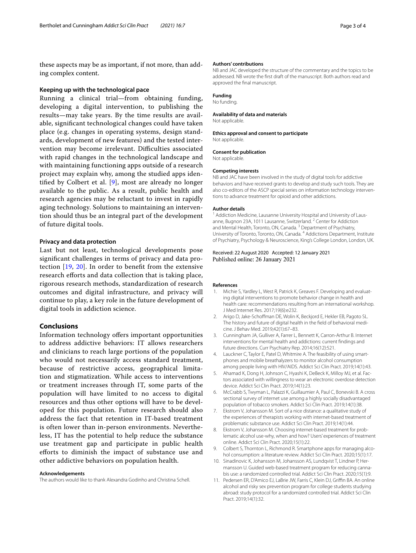these aspects may be as important, if not more, than adding complex content.

#### **Keeping up with the technological pace**

Running a clinical trial—from obtaining funding, developing a digital intervention, to publishing the results—may take years. By the time results are available, signifcant technological changes could have taken place (e.g. changes in operating systems, design standards, development of new features) and the tested intervention may become irrelevant. Difficulties associated with rapid changes in the technological landscape and with maintaining functioning apps outside of a research project may explain why, among the studied apps identifed by Colbert et al. [[9\]](#page-2-7), most are already no longer available to the public. As a result, public health and research agencies may be reluctant to invest in rapidly aging technology. Solutions to maintaining an intervention should thus be an integral part of the development of future digital tools.

#### **Privacy and data protection**

Last but not least, technological developments pose signifcant challenges in terms of privacy and data protection [[19](#page-3-7), [20\]](#page-3-8). In order to beneft from the extensive research efforts and data collection that is taking place, rigorous research methods, standardization of research outcomes and digital infrastructure, and privacy will continue to play, a key role in the future development of digital tools in addiction science.

#### **Conclusions**

Information technology ofers important opportunities to address addictive behaviors: IT allows researchers and clinicians to reach large portions of the population who would not necessarily access standard treatment, because of restrictive access, geographical limitation and stigmatization. While access to interventions or treatment increases through IT, some parts of the population will have limited to no access to digital resources and thus other options will have to be developed for this population. Future research should also address the fact that retention in IT-based treatment is often lower than in-person environments. Nevertheless, IT has the potential to help reduce the substance use treatment gap and participate in public health eforts to diminish the impact of substance use and other addictive behaviors on population health.

#### **Acknowledgements**

The authors would like to thank Alexandra Godinho and Christina Schell.

#### **Authors' contributions**

NB and JAC developed the structure of the commentary and the topics to be addressed. NB wrote the frst draft of the manuscript. Both authors read and approved the fnal manuscript.

#### **Funding**

#### No funding.

#### **Availability of data and materials**

Not applicable.

#### **Ethics approval and consent to participate** Not applicable.

**Consent for publication** Not applicable.

#### **Competing interests**

NB and JAC have been involved in the study of digital tools for addictive behaviors and have received grants to develop and study such tools. They are also co-editors of the ASCP special series on information technology interventions to advance treatment for opioid and other addictions.

#### **Author details**

<sup>1</sup> Addiction Medicine, Lausanne University Hospital and University of Lausanne, Bugnon 23A, 1011 Lausanne, Switzerland.<sup>2</sup> Center for Addiction and Mental Health, Toronto, ON, Canada.<sup>3</sup> Department of Psychiatry, University of Toronto, Toronto, ON, Canada. 4 Addictions Department, Institute of Psychiatry, Psychology & Neuroscience, King's College London, London, UK.

#### Received: 22 August 2020 Accepted: 12 January 2021 Published online: 26 January 2021

#### **References**

- <span id="page-2-0"></span>1. Michie S, Yardley L, West R, Patrick K, Greaves F. Developing and evaluating digital interventions to promote behavior change in health and health care: recommendations resulting from an international workshop. J Med Internet Res. 2017;19(6):e232.
- 2. Arigo D, Jake-Schoffman DE, Wolin K, Beckjord E, Hekler EB, Pagoto SL. The history and future of digital health in the feld of behavioral medicine. J Behav Med. 2019;42(1):67–83.
- <span id="page-2-1"></span>3. Cunningham JA, Gulliver A, Farrer L, Bennett K, Carron-Arthur B. Internet interventions for mental health and addictions: current fndings and future directions. Curr Psychiatry Rep. 2014;16(12):521.
- <span id="page-2-2"></span>4. Lauckner C, Taylor E, Patel D, Whitmire A. The feasibility of using smartphones and mobile breathalyzers to monitor alcohol consumption among people living with HIV/AIDS. Addict Sci Clin Pract. 2019;14(1):43.
- <span id="page-2-3"></span>5. Ahamad K, Dong H, Johnson C, Hyashi K, DeBeck K, Milloy MJ, et al. Factors associated with willingness to wear an electronic overdose detection device. Addict Sci Clin Pract. 2019;14(1):23.
- <span id="page-2-4"></span>6. McCrabb S, Twyman L, Palazzi K, Guillaumier A, Paul C, Bonevski B. A cross sectional survey of internet use among a highly socially disadvantaged population of tobacco smokers. Addict Sci Clin Pract. 2019;14(1):38.
- <span id="page-2-5"></span>7. Ekstrom V, Johansson M. Sort of a nice distance: a qualitative study of the experiences of therapists working with internet-based treatment of problematic substance use. Addict Sci Clin Pract. 2019;14(1):44.
- <span id="page-2-6"></span>8. Ekstrom V, Johansson M. Choosing internet-based treatment for problematic alcohol use-why, when and how? Users' experiences of treatment online. Addict Sci Clin Pract. 2020;15(1):22.
- <span id="page-2-7"></span>9. Colbert S, Thornton L, Richmond R. Smartphone apps for managing alcohol consumption: a literature review. Addict Sci Clin Pract. 2020;15(1):17.
- <span id="page-2-8"></span>10. Sinadinovic K, Johansson M, Johansson AS, Lundqvist T, Lindner P, Hermansson U. Guided web-based treatment program for reducing cannabis use: a randomized controlled trial. Addict Sci Clin Pract. 2020;15(1):9.
- <span id="page-2-9"></span>11. Pedersen ER, D'Amico EJ, LaBrie JW, Farris C, Klein DJ, Griffin BA. An online alcohol and risky sex prevention program for college students studying abroad: study protocol for a randomized controlled trial. Addict Sci Clin Pract. 2019;14(1):32.